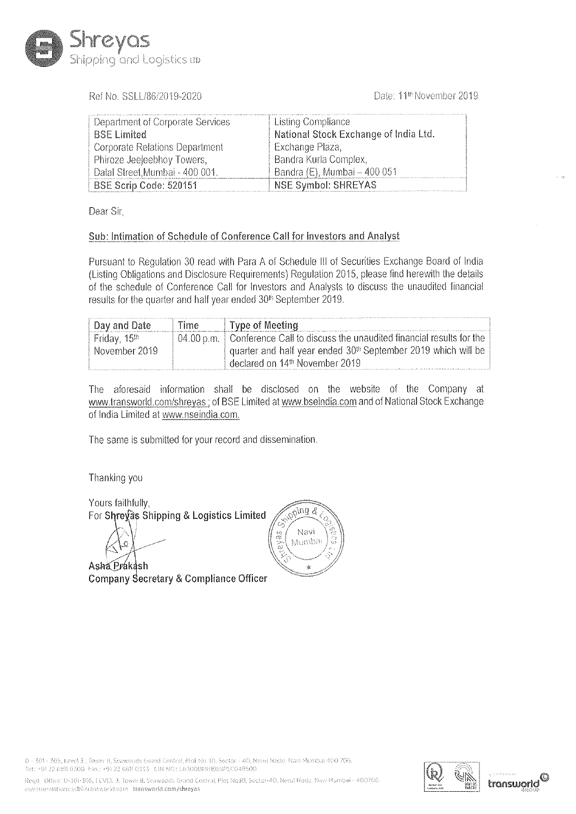

Date: 11<sup>th</sup> November 2019

| meyas                                                                        |            |                                                                                                                                                                            |                                                                                                                                                                                                                                                                                                  |  |
|------------------------------------------------------------------------------|------------|----------------------------------------------------------------------------------------------------------------------------------------------------------------------------|--------------------------------------------------------------------------------------------------------------------------------------------------------------------------------------------------------------------------------------------------------------------------------------------------|--|
| oping and Logistics up                                                       |            |                                                                                                                                                                            |                                                                                                                                                                                                                                                                                                  |  |
| Ref No. SSLL/86/2019-2020                                                    |            |                                                                                                                                                                            | Date: 11 <sup>th</sup> November 201                                                                                                                                                                                                                                                              |  |
| Department of Corporate Services<br><b>BSE Limited</b>                       |            |                                                                                                                                                                            | Listing Compliance<br>National Stock Exchange of India Ltd.                                                                                                                                                                                                                                      |  |
| Corporate Relations Department<br>Phiroze Jeejeebhoy Towers,                 |            |                                                                                                                                                                            | Exchange Plaza,<br>Bandra Kurla Complex,                                                                                                                                                                                                                                                         |  |
| Dalal Street, Mumbai - 400 001.<br>BSE Scrip Code: 520151                    |            |                                                                                                                                                                            | Bandra (E), Mumbai - 400 051<br>NSE Symbol: SHREYAS                                                                                                                                                                                                                                              |  |
|                                                                              |            |                                                                                                                                                                            |                                                                                                                                                                                                                                                                                                  |  |
| Dear Sir,                                                                    |            |                                                                                                                                                                            |                                                                                                                                                                                                                                                                                                  |  |
|                                                                              |            |                                                                                                                                                                            | Sub: Intimation of Schedule of Conference Call for Investors and Analyst                                                                                                                                                                                                                         |  |
| results for the quarter and half year ended 30 <sup>th</sup> September 2019. |            |                                                                                                                                                                            | Pursuant to Regulation 30 read with Para A of Schedule III of Securities Exchange Board of In<br>(Listing Obligations and Disclosure Requirements) Regulation 2015, please find herewith the det<br>of the schedule of Conference Call for Investors and Analysts to discuss the unaudited finan |  |
| Day and Date                                                                 | Time       | <b>Type of Meeting</b>                                                                                                                                                     |                                                                                                                                                                                                                                                                                                  |  |
| Friday, 15th<br>November 2019                                                | 04.00 p.m. | Conference Call to discuss the unaudited financial results for<br>quarter and half year ended 30 <sup>th</sup> September 2019 which will<br>declared on 14th November 2019 |                                                                                                                                                                                                                                                                                                  |  |

| Day and Date                          | Time | Type of Meeting                                                                 |
|---------------------------------------|------|---------------------------------------------------------------------------------|
| <sup>+</sup> Friday, 15 <sup>th</sup> |      | 04.00 p.m.   Conference Call to discuss the unaudited financial results for the |
| November 2019                         |      | quarter and half year ended 30 <sup>th</sup> September 2019 which will be       |
|                                       |      | declared on 14 <sup>th</sup> November 2019                                      |

The aforesaid information shall be disclosed on the website of the Company at www.transworld.com/shreyas : of BSE Limited at www.bseindia.com and of National Stock Exchange of India Limited at www.nseindia.com.

The same is submitted for your record and dissemination.

Thanking you

Yours faithfully, For Shreyas Shipping & Logistics Limited

Asha Prakash Company Secretary & Compliance Officer



0 - 301 - 305, Level 3 , Tower H<br>Tel: +91 22 6811 0300 - Fax: +91<br>Regd. -Office: D-301-305, LEVEL<br>mysstorielations.ssffeatamwork<br>mysstorielations.ssffeatamwork  $\textbf{Company Sec}$ <br> $\begin{array}{l} \textbf{Comp} \textbf{Conv} \textbf{Conv} \textbf{Conv} \textbf{Conv} \textbf{Conv} \textbf{Conv} \textbf{Conv} \textbf{Conv} \textbf{Conv} \textbf{Conv} \textbf{Conv} \textbf{Conv} \textbf{Conv} \textbf{Conv} \textbf{Conv} \textbf{Conv} \textbf{Conv} \textbf{Conv} \textbf{Conv} \textbf{Conv} \textbf{Conv} \textbf{Conv} \textbf{Conv} \textbf{Conv} \textbf{Conv} \textbf{Conv} \textbf{Conv} \textbf{Conv} \textbf{Conv} \textbf{Conv} \textbf{Conv} \textbf{Conv} \textbf{$